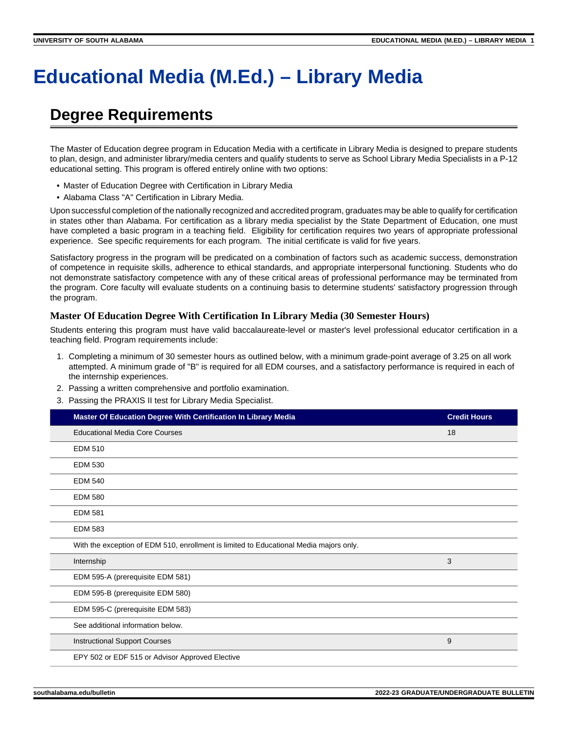# **Educational Media (M.Ed.) – Library Media**

## **Degree Requirements**

The Master of Education degree program in Education Media with a certificate in Library Media is designed to prepare students to plan, design, and administer library/media centers and qualify students to serve as School Library Media Specialists in a P-12 educational setting. This program is offered entirely online with two options:

- Master of Education Degree with Certification in Library Media
- Alabama Class "A" Certification in Library Media.

Upon successful completion of the nationally recognized and accredited program, graduates may be able to qualify for certification in states other than Alabama. For certification as a library media specialist by the State Department of Education, one must have completed a basic program in a teaching field. Eligibility for certification requires two years of appropriate professional experience. See specific requirements for each program. The initial certificate is valid for five years.

Satisfactory progress in the program will be predicated on a combination of factors such as academic success, demonstration of competence in requisite skills, adherence to ethical standards, and appropriate interpersonal functioning. Students who do not demonstrate satisfactory competence with any of these critical areas of professional performance may be terminated from the program. Core faculty will evaluate students on a continuing basis to determine students' satisfactory progression through the program.

#### **Master Of Education Degree With Certification In Library Media (30 Semester Hours)**

Students entering this program must have valid baccalaureate-level or master's level professional educator certification in a teaching field. Program requirements include:

- 1. Completing a minimum of 30 semester hours as outlined below, with a minimum grade-point average of 3.25 on all work attempted. A minimum grade of "B" is required for all EDM courses, and a satisfactory performance is required in each of the internship experiences.
- 2. Passing a written comprehensive and portfolio examination.
- 3. Passing the PRAXIS II test for Library Media Specialist.

| Master Of Education Degree With Certification In Library Media                         | <b>Credit Hours</b> |
|----------------------------------------------------------------------------------------|---------------------|
| <b>Educational Media Core Courses</b>                                                  | 18                  |
| <b>EDM 510</b>                                                                         |                     |
| <b>EDM 530</b>                                                                         |                     |
| <b>EDM 540</b>                                                                         |                     |
| <b>EDM 580</b>                                                                         |                     |
| <b>EDM 581</b>                                                                         |                     |
| <b>EDM 583</b>                                                                         |                     |
| With the exception of EDM 510, enrollment is limited to Educational Media majors only. |                     |
| Internship                                                                             | 3                   |
| EDM 595-A (prerequisite EDM 581)                                                       |                     |
| EDM 595-B (prerequisite EDM 580)                                                       |                     |
| EDM 595-C (prerequisite EDM 583)                                                       |                     |
| See additional information below.                                                      |                     |
| <b>Instructional Support Courses</b>                                                   | 9                   |
| EPY 502 or EDF 515 or Advisor Approved Elective                                        |                     |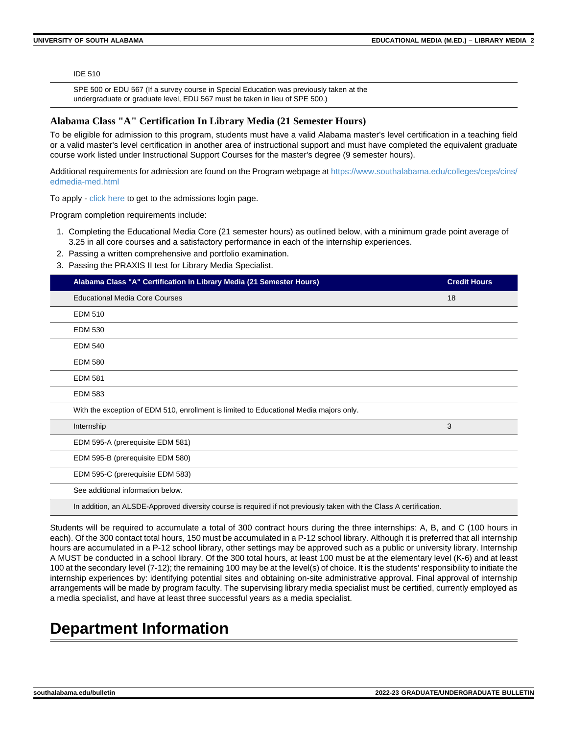IDE 510

SPE 500 or EDU 567 (If a survey course in Special Education was previously taken at the undergraduate or graduate level, EDU 567 must be taken in lieu of SPE 500.)

#### **Alabama Class "A" Certification In Library Media (21 Semester Hours)**

To be eligible for admission to this program, students must have a valid Alabama master's level certification in a teaching field or a valid master's level certification in another area of instructional support and must have completed the equivalent graduate course work listed under Instructional Support Courses for the master's degree (9 semester hours).

Additional requirements for admission are found on the Program webpage at [https://www.southalabama.edu/colleges/ceps/cins/](https://www.southalabama.edu/colleges/ceps/cins/edmedia-med.html) [edmedia-med.html](https://www.southalabama.edu/colleges/ceps/cins/edmedia-med.html)

To apply - [click here](https://southalabama.liaisoncas.com/applicant-ux/#/login) to get to the admissions login page.

Program completion requirements include:

- 1. Completing the Educational Media Core (21 semester hours) as outlined below, with a minimum grade point average of 3.25 in all core courses and a satisfactory performance in each of the internship experiences.
- 2. Passing a written comprehensive and portfolio examination.
- 3. Passing the PRAXIS II test for Library Media Specialist.

| Alabama Class "A" Certification In Library Media (21 Semester Hours)                                                | <b>Credit Hours</b> |
|---------------------------------------------------------------------------------------------------------------------|---------------------|
| <b>Educational Media Core Courses</b>                                                                               | 18                  |
| <b>EDM 510</b>                                                                                                      |                     |
| <b>EDM 530</b>                                                                                                      |                     |
| <b>EDM 540</b>                                                                                                      |                     |
| <b>EDM 580</b>                                                                                                      |                     |
| <b>EDM 581</b>                                                                                                      |                     |
| <b>EDM 583</b>                                                                                                      |                     |
| With the exception of EDM 510, enrollment is limited to Educational Media majors only.                              |                     |
| Internship                                                                                                          | 3                   |
| EDM 595-A (prerequisite EDM 581)                                                                                    |                     |
| EDM 595-B (prerequisite EDM 580)                                                                                    |                     |
| EDM 595-C (prerequisite EDM 583)                                                                                    |                     |
| See additional information below.                                                                                   |                     |
| In addition, an ALSDE-Approved diversity course is required if not previously taken with the Class A certification. |                     |

Students will be required to accumulate a total of 300 contract hours during the three internships: A, B, and C (100 hours in each). Of the 300 contact total hours, 150 must be accumulated in a P-12 school library. Although it is preferred that all internship hours are accumulated in a P-12 school library, other settings may be approved such as a public or university library. Internship A MUST be conducted in a school library. Of the 300 total hours, at least 100 must be at the elementary level (K-6) and at least 100 at the secondary level (7-12); the remaining 100 may be at the level(s) of choice. It is the students' responsibility to initiate the internship experiences by: identifying potential sites and obtaining on-site administrative approval. Final approval of internship arrangements will be made by program faculty. The supervising library media specialist must be certified, currently employed as a media specialist, and have at least three successful years as a media specialist.

### **Department Information**